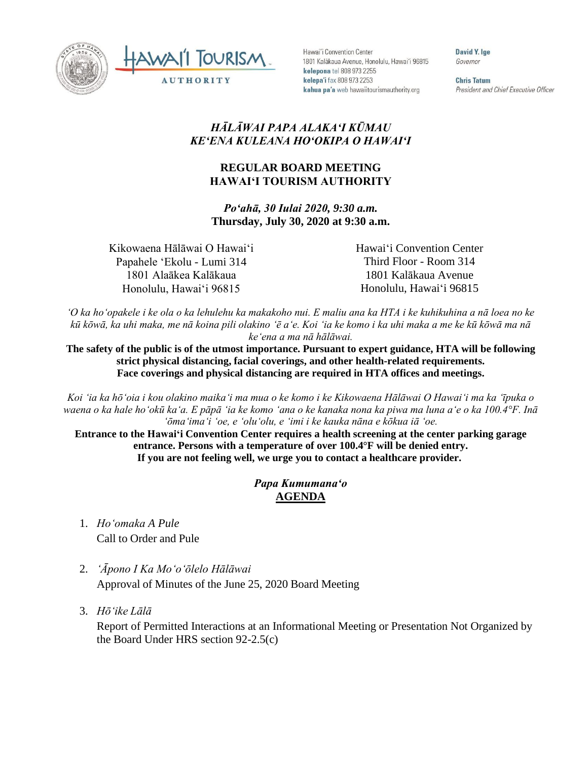



Hawai'i Convention Center 1801 Kalākaua Avenue, Honolulu, Hawai'i 96815 kelepona tel 808 973 2255 kelepa'i fax 808 973 2253 kahua pa'a web hawaiitourismauthority.org

David Y. Ige Governor

**Chris Tatum** President and Chief Executive Officer

## *HĀLĀWAI PAPA ALAKAʻI KŪMAU KEʻENA KULEANA HOʻOKIPA O HAWAIʻI*

## **REGULAR BOARD MEETING HAWAI'I TOURISM AUTHORITY**

*Poʻahā, 30 Iulai 2020, 9:30 a.m.* **Thursday, July 30, 2020 at 9:30 a.m.**

Kikowaena Hālāwai O Hawaiʻi Papahele ʻEkolu - Lumi 314 1801 Alaākea Kalākaua Honolulu, Hawaiʻi 96815

Hawaiʻi Convention Center Third Floor - Room 314 1801 Kalākaua Avenue Honolulu, Hawaiʻi 96815

*ʻO ka hoʻopakele i ke ola o ka lehulehu ka makakoho nui. E maliu ana ka HTA i ke kuhikuhina a nā loea no ke kū kōwā, ka uhi maka, me nā koina pili olakino ʻē aʻe. Koi ʻia ke komo i ka uhi maka a me ke kū kōwā ma nā keʻena a ma nā hālāwai.*

The safety of the public is of the utmost importance. Pursuant to expert guidance, HTA will be following **strict physical distancing, facial coverings, and other health-related requirements. Face coverings and physical distancing are required in HTA offices and meetings.**

*Koi ʻia ka hōʻoia i kou olakino maikaʻi ma mua o ke komo i ke Kikowaena Hālāwai O Hawaiʻi ma ka ʻīpuka o waena o ka hale hoʻokū kaʻa. E pāpā ʻia ke komo ʻana o ke kanaka nona ka piwa ma luna aʻe o ka 100.4°F. Inā ʻōmaʻimaʻi ʻoe, e ʻoluʻolu, e ʻimi i ke kauka nāna e kōkua iā ʻoe.* 

**Entrance to the Hawaiʻi Convention Center requires a health screening at the center parking garage entrance. Persons with a temperature of over 100.4°F will be denied entry. If you are not feeling well, we urge you to contact a healthcare provider.**

## *Papa Kumumanaʻo* **AGENDA**

- 1. *Ho'omaka A Pule* Call to Order and Pule
- 2. *ʻĀpono I Ka Moʻoʻōlelo Hālāwai* Approval of Minutes of the June 25, 2020 Board Meeting
- 3. *Hō'ike Lālā*

Report of Permitted Interactions at an Informational Meeting or Presentation Not Organized by the Board Under HRS section 92-2.5(c)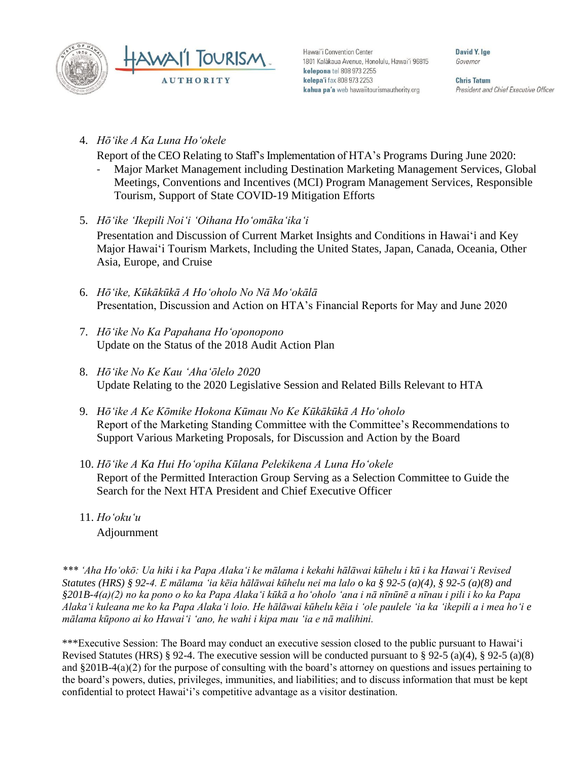



Hawai'i Convention Center 1801 Kalākaua Avenue, Honolulu, Hawai'i 96815 kelepona tel 808 973 2255 kelepa'i fax 808 973 2253 kahua pa'a web hawaiitourismauthority.org

David Y. lge Governor

**Chris Tatum** President and Chief Executive Officer

4. *Hōʻike A Ka Luna Hoʻokele*

Report of the CEO Relating to Staff's Implementation of HTA's Programs During June 2020:

- Major Market Management including Destination Marketing Management Services, Global Meetings, Conventions and Incentives (MCI) Program Management Services, Responsible Tourism, Support of State COVID-19 Mitigation Efforts
- 5. *Hōʻike ʻIkepili Noiʻi ʻOihana Hoʻomākaʻikaʻi* Presentation and Discussion of Current Market Insights and Conditions in Hawai'i and Key Major Hawai'i Tourism Markets, Including the United States, Japan, Canada, Oceania, Other Asia, Europe, and Cruise
- 6. *Hōʻike, Kūkākūkā A Hoʻoholo No Nā Moʻokālā* Presentation, Discussion and Action on HTA's Financial Reports for May and June 2020
- 7. *Hōʻike No Ka Papahana Hoʻoponopono*  Update on the Status of the 2018 Audit Action Plan
- 8. *Hōʻike No Ke Kau ʻAhaʻōlelo 2020* Update Relating to the 2020 Legislative Session and Related Bills Relevant to HTA
- 9. *Hōʻike A Ke Kōmike Hokona Kūmau No Ke Kūkākūkā A Hoʻoholo* Report of the Marketing Standing Committee with the Committee's Recommendations to Support Various Marketing Proposals, for Discussion and Action by the Board
- 10. *Hōʻike A Ka Hui Hoʻopiha Kūlana Pelekikena A Luna Hoʻokele* Report of the Permitted Interaction Group Serving as a Selection Committee to Guide the Search for the Next HTA President and Chief Executive Officer
- 11. *Ho'oku'u* Adjournment

*\*\*\* ʻAha Hoʻokō: Ua hiki i ka Papa Alakaʻi ke mālama i kekahi hālāwai kūhelu i kū i ka Hawaiʻi Revised Statutes (HRS) § 92-4. E mālama ʻia kēia hālāwai kūhelu nei ma lalo o ka § 92-5 (a)(4), § 92-5 (a)(8) and §201B-4(a)(2) no ka pono o ko ka Papa Alakaʻi kūkā a hoʻoholo ʻana i nā nīnūnē a nīnau i pili i ko ka Papa Alakaʻi kuleana me ko ka Papa Alakaʻi loio. He hālāwai kūhelu kēia i ʻole paulele ʻia ka ʻikepili a i mea hoʻi e mālama kūpono ai ko Hawaiʻi ʻano, he wahi i kipa mau ʻia e nā malihini.*

\*\*\*Executive Session: The Board may conduct an executive session closed to the public pursuant to Hawai'i Revised Statutes (HRS) § 92-4. The executive session will be conducted pursuant to § 92-5 (a)(4), § 92-5 (a)(8) and §201B-4(a)(2) for the purpose of consulting with the board's attorney on questions and issues pertaining to the board's powers, duties, privileges, immunities, and liabilities; and to discuss information that must be kept confidential to protect Hawai'i's competitive advantage as a visitor destination.